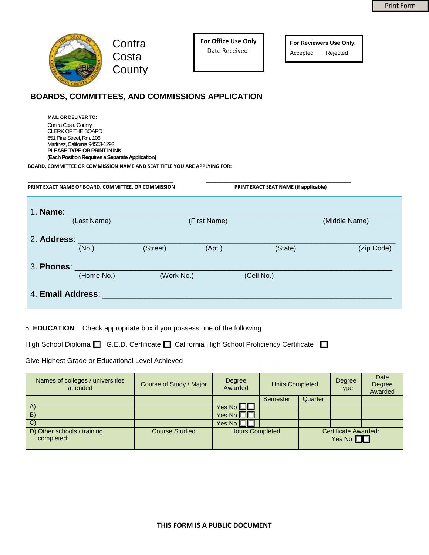

**Contra Costa County**  **For Office Use Only** Date Received:

**For Reviewers Use Only**: Accepted Rejected

## **BOARDS, COMMITTEES, AND COMMISSIONS APPLICATION**

Contra Costa County CLERK OF THE BOARD 651 Pine Street, Rm. 106 Martinez, California 94553-1292 **PLEASE TYPE OR PRINT IN INK (Each Position Requires a Separate Application) MAIL OR DELIVER TO:** 

 **BOARD, COMMITTEE OR COMMISSION NAME AND SEAT TITLE YOU ARE APPLYING FOR:** 

|             | PRINT EXACT NAME OF BOARD, COMMITTEE, OR COMMISSION |            |              | PRINT EXACT SEAT NAME (if applicable) |               |
|-------------|-----------------------------------------------------|------------|--------------|---------------------------------------|---------------|
| 1. Name:    | (Last Name)                                         |            | (First Name) |                                       | (Middle Name) |
| 2. Address: | (No.)                                               | (Street)   | (Apt.)       | (State)                               | (Zip Code)    |
| 3. Phones:  | (Home No.)                                          | (Work No.) |              | (Cell No.)                            |               |
|             | 4. Email Address:                                   |            |              |                                       |               |

5. **EDUCATION**: Check appropriate box if you possess one of the following:

High School Diploma  $\square$  G.E.D. Certificate  $\square$  California High School Proficiency Certificate  $\square$ 

Give Highest Grade or Educational Level Achieved\_

| Names of colleges / universities<br>attended | Course of Study / Major | Degree<br>Awarded      | <b>Units Completed</b> |                                       | Degree<br><b>Type</b> | Date<br>Degree<br>Awarded |
|----------------------------------------------|-------------------------|------------------------|------------------------|---------------------------------------|-----------------------|---------------------------|
|                                              |                         |                        | Semester               | Quarter                               |                       |                           |
| A)                                           |                         | Yes No $\Box$ $\Box$   |                        |                                       |                       |                           |
| B)                                           |                         | Yes No $\Box$ $\Box$   |                        |                                       |                       |                           |
| C)                                           |                         | Yes No $\Box$          |                        |                                       |                       |                           |
| D) Other schools / training<br>completed:    | <b>Course Studied</b>   | <b>Hours Completed</b> |                        | Certificate Awarded:<br>Yes No $\Box$ |                       |                           |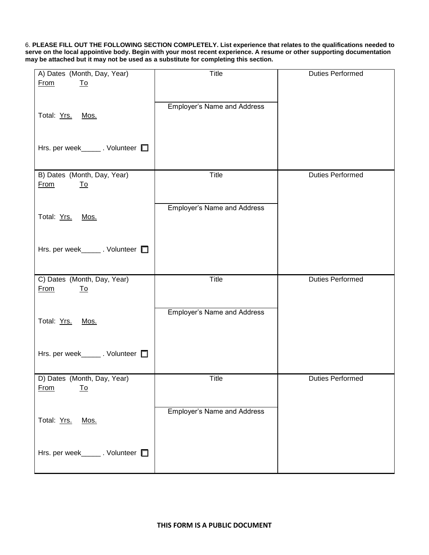6. **PLEASE FILL OUT THE FOLLOWING SECTION COMPLETELY. List experience that relates to the qualifications needed to serve on the local appointive body. Begin with your most recent experience. A resume or other supporting documentation may be attached but it may not be used as a substitute for completing this section.**

| A) Dates (Month, Day, Year)               | <b>Title</b>                       | <b>Duties Performed</b> |
|-------------------------------------------|------------------------------------|-------------------------|
| <b>From</b><br><u>To</u>                  |                                    |                         |
|                                           |                                    |                         |
|                                           | <b>Employer's Name and Address</b> |                         |
| Total: Yrs. Mos.                          |                                    |                         |
|                                           |                                    |                         |
|                                           |                                    |                         |
| Hrs. per week_______. Volunteer $\square$ |                                    |                         |
|                                           |                                    |                         |
|                                           |                                    |                         |
| B) Dates (Month, Day, Year)               | <b>Title</b>                       | <b>Duties Performed</b> |
| <b>From</b><br><u>To</u>                  |                                    |                         |
|                                           |                                    |                         |
|                                           | <b>Employer's Name and Address</b> |                         |
| Total: Yrs. Mos.                          |                                    |                         |
|                                           |                                    |                         |
|                                           |                                    |                         |
| Hrs. per week_______. Volunteer           |                                    |                         |
|                                           |                                    |                         |
|                                           |                                    |                         |
| C) Dates (Month, Day, Year)               | Title                              | <b>Duties Performed</b> |
| <b>From</b><br><u>To</u>                  |                                    |                         |
|                                           |                                    |                         |
|                                           | <b>Employer's Name and Address</b> |                         |
| Total: Yrs. Mos.                          |                                    |                         |
|                                           |                                    |                         |
|                                           |                                    |                         |
| Hrs. per week_______. Volunteer           |                                    |                         |
|                                           |                                    |                         |
|                                           |                                    |                         |
| D) Dates (Month, Day, Year)               | Title                              | <b>Duties Performed</b> |
| <b>From</b><br><u>To</u>                  |                                    |                         |
|                                           |                                    |                         |
|                                           | <b>Employer's Name and Address</b> |                         |
| Total: Yrs.<br>Mos.                       |                                    |                         |
|                                           |                                    |                         |
|                                           |                                    |                         |
| Hrs. per week_______. Volunteer           |                                    |                         |
|                                           |                                    |                         |
|                                           |                                    |                         |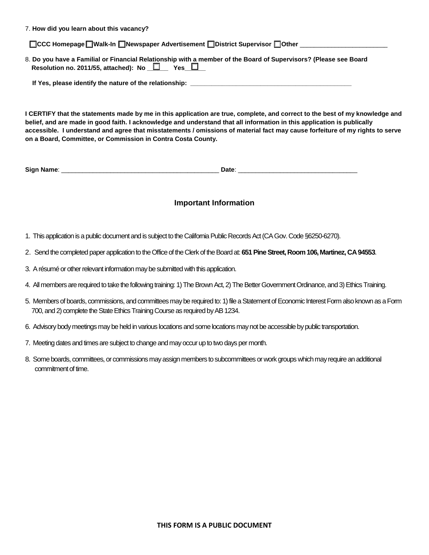7. **How did you learn about this vacancy?** 

**□CCC Homepage ■ Walk-In ■ Newspaper Advertisement ■ District Supervisor ■ Other** 

8. **Do you have a Familial or Financial Relationship with a member of the Board of Supervisors? (Please see Board**  Resolution no. 2011/55, attached): No  $\square$  Yes  $\square$ 

If Yes, please identify the nature of the relationship:

**I CERTIFY that the statements made by me in this application are true, complete, and correct to the best of my knowledge and belief, and are made in good faith. I acknowledge and understand that all information in this application is publically accessible. I understand and agree that misstatements / omissions of material fact may cause forfeiture of my rights to serve on a Board, Committee, or Commission in Contra Costa County.** 

| <b>Siar</b><br>----<br>Name | _<br>. |
|-----------------------------|--------|
|                             |        |

## **Important Information**

- 1. This application is a public document and is subject to the California Public Records Act (CA Gov. Code §6250-6270).
- 2. Send the completed paper application to the Office of the Clerk of the Board at: **651 Pine Street, Room 106, Martinez, CA 94553**.
- 3. A résumé or other relevant information may be submitted with this application.
- 4. All members are required to take the following training: 1) The Brown Act, 2) The Better Government Ordinance, and 3) Ethics Training.
- 5. Members of boards, commissions, and committees may be required to: 1) file a Statement of Economic Interest Form also known as a Form 700, and 2) complete the State Ethics Training Course as required by AB 1234.
- 6. Advisory body meetings may be held in various locations and some locations may not be accessible by public transportation.
- 7. Meeting dates and times are subject to change and may occur up to two days per month.
- 8. Some boards, committees, or commissions may assign members to subcommittees or work groups which may require an additional commitment of time.